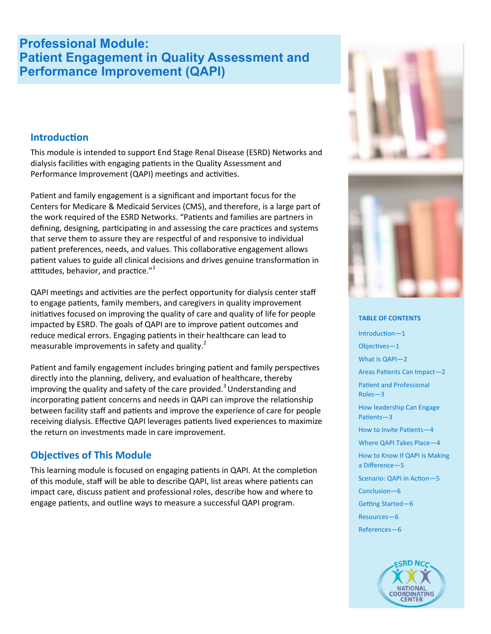# **Professional Module: Patient Engagement in Quality Assessment and Performance Improvement (QAPI)**



#### **Introduction**

This module is intended to support End Stage Renal Disease (ESRD) Networks and dialysis facilities with engaging patients in the Quality Assessment and Performance Improvement (QAPI) meetings and activities.

Patient and family engagement is a significant and important focus for the Centers for Medicare & Medicaid Services (CMS), and therefore, is a large part of the work required of the ESRD Networks. "Patients and families are partners in defining, designing, participating in and assessing the care practices and systems that serve them to assure they are respectful of and responsive to individual patient preferences, needs, and values. This collaborative engagement allows patient values to guide all clinical decisions and drives genuine transformation in attitudes, behavior, and practice."<sup>1</sup>

QAPI meetings and activities are the perfect opportunity for dialysis center staff to engage patients, family members, and caregivers in quality improvement initiatives focused on improving the quality of care and quality of life for people impacted by ESRD. The goals of QAPI are to improve patient outcomes and reduce medical errors. Engaging patients in their healthcare can lead to measurable improvements in safety and quality.<sup>2</sup>

Patient and family engagement includes bringing patient and family perspectives directly into the planning, delivery, and evaluation of healthcare, thereby improving the quality and safety of the care provided.<sup>3</sup> Understanding and incorporating patient concerns and needs in QAPI can improve the relationship between facility staff and patients and improve the experience of care for people receiving dialysis. Effective QAPI leverages patients lived experiences to maximize the return on investments made in care improvement.

### **Objectives of This Module**

This learning module is focused on engaging patients in QAPI. At the completion of this module, staff will be able to describe QAPI, list areas where patients can impact care, discuss patient and professional roles, describe how and where to engage patients, and outline ways to measure a successful QAPI program.



#### **TABLE OF CONTENTS**

Introduction—1 Objectives—1 What Is QAPI—2 Areas Patients Can Impact—2 Patient and Professional Roles—3 How leadership Can Engage Patients—3 How to Invite Patients—4 Where QAPI Takes Place—4 How to Know If QAPI Is Making a Difference—5 Scenario: QAPI in Action—5 Conclusion—6 Getting Started—6 Resources—6 References—6

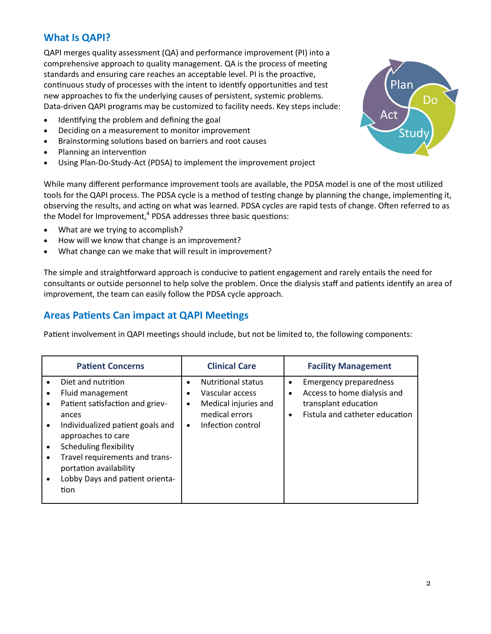# **What Is QAPI?**

QAPI merges quality assessment (QA) and performance improvement (PI) into a comprehensive approach to quality management. QA is the process of meeting standards and ensuring care reaches an acceptable level. PI is the proactive, continuous study of processes with the intent to identify opportunities and test new approaches to fix the underlying causes of persistent, systemic problems. Data-driven QAPI programs may be customized to facility needs. Key steps include:

- Identifying the problem and defining the goal
- Deciding on a measurement to monitor improvement
- Brainstorming solutions based on barriers and root causes
- Planning an intervention
- Using Plan-Do-Study-Act (PDSA) to implement the improvement project

While many different performance improvement tools are available, the PDSA model is one of the most utilized tools for the QAPI process. The PDSA cycle is a method of testing change by planning the change, implementing it, observing the results, and acting on what was learned. PDSA cycles are rapid tests of change. Often referred to as the Model for Improvement,<sup>4</sup> PDSA addresses three basic questions:

- What are we trying to accomplish?
- How will we know that change is an improvement?
- What change can we make that will result in improvement?

The simple and straightforward approach is conducive to patient engagement and rarely entails the need for consultants or outside personnel to help solve the problem. Once the dialysis staff and patients identify an area of improvement, the team can easily follow the PDSA cycle approach.

#### **Areas Patients Can impact at QAPI Meetings**

Patient involvement in QAPI meetings should include, but not be limited to, the following components:

| <b>Patient Concerns</b>                                                                                                                                                                                                                                                                    | <b>Clinical Care</b>                                                                                        | <b>Facility Management</b>                                                                                                             |
|--------------------------------------------------------------------------------------------------------------------------------------------------------------------------------------------------------------------------------------------------------------------------------------------|-------------------------------------------------------------------------------------------------------------|----------------------------------------------------------------------------------------------------------------------------------------|
| Diet and nutrition<br>$\bullet$<br>Fluid management<br>Patient satisfaction and griev-<br>ances<br>Individualized patient goals and<br>approaches to care<br>Scheduling flexibility<br>Travel requirements and trans-<br>portation availability<br>Lobby Days and patient orienta-<br>tion | <b>Nutritional status</b><br>Vascular access<br>Medical injuries and<br>medical errors<br>Infection control | Emergency preparedness<br>$\bullet$<br>Access to home dialysis and<br>٠<br>transplant education<br>Fistula and catheter education<br>٠ |

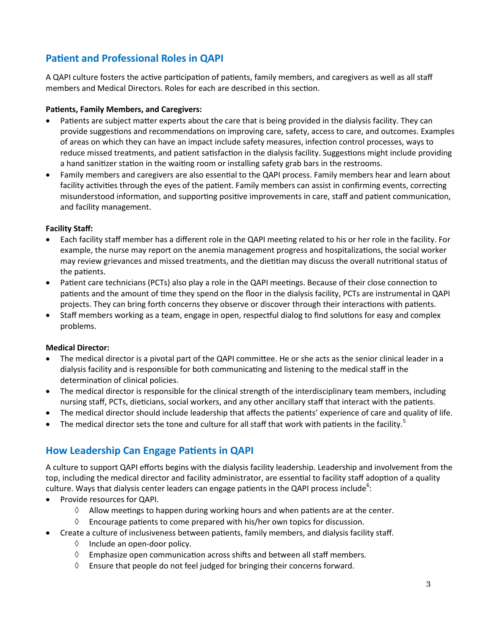# **Patient and Professional Roles in QAPI**

A QAPI culture fosters the active participation of patients, family members, and caregivers as well as all staff members and Medical Directors. Roles for each are described in this section.

#### **Patients, Family Members, and Caregivers:**

- Patients are subject matter experts about the care that is being provided in the dialysis facility. They can provide suggestions and recommendations on improving care, safety, access to care, and outcomes. Examples of areas on which they can have an impact include safety measures, infection control processes, ways to reduce missed treatments, and patient satisfaction in the dialysis facility. Suggestions might include providing a hand sanitizer station in the waiting room or installing safety grab bars in the restrooms.
- Family members and caregivers are also essential to the QAPI process. Family members hear and learn about facility activities through the eyes of the patient. Family members can assist in confirming events, correcting misunderstood information, and supporting positive improvements in care, staff and patient communication, and facility management.

#### **Facility Staff:**

- Each facility staff member has a different role in the QAPI meeting related to his or her role in the facility. For example, the nurse may report on the anemia management progress and hospitalizations, the social worker may review grievances and missed treatments, and the dietitian may discuss the overall nutritional status of the patients.
- Patient care technicians (PCTs) also play a role in the QAPI meetings. Because of their close connection to patients and the amount of time they spend on the floor in the dialysis facility, PCTs are instrumental in QAPI projects. They can bring forth concerns they observe or discover through their interactions with patients.
- Staff members working as a team, engage in open, respectful dialog to find solutions for easy and complex problems.

#### **Medical Director:**

- The medical director is a pivotal part of the QAPI committee. He or she acts as the senior clinical leader in a dialysis facility and is responsible for both communicating and listening to the medical staff in the determination of clinical policies.
- The medical director is responsible for the clinical strength of the interdisciplinary team members, including nursing staff, PCTs, dieticians, social workers, and any other ancillary staff that interact with the patients.
- The medical director should include leadership that affects the patients' experience of care and quality of life.
- The medical director sets the tone and culture for all staff that work with patients in the facility.<sup>5</sup>

## **How Leadership Can Engage Patients in QAPI**

A culture to support QAPI efforts begins with the dialysis facility leadership. Leadership and involvement from the top, including the medical director and facility administrator, are essential to facility staff adoption of a quality culture. Ways that dialysis center leaders can engage patients in the QAPI process include<sup>6</sup>:

- Provide resources for QAPI.
	- $\Diamond$  Allow meetings to happen during working hours and when patients are at the center.
	- $\Diamond$  Encourage patients to come prepared with his/her own topics for discussion.
- Create a culture of inclusiveness between patients, family members, and dialysis facility staff.
	- $\Diamond$  Include an open-door policy.
	- $\Diamond$  Emphasize open communication across shifts and between all staff members.
	- $\Diamond$  Ensure that people do not feel judged for bringing their concerns forward.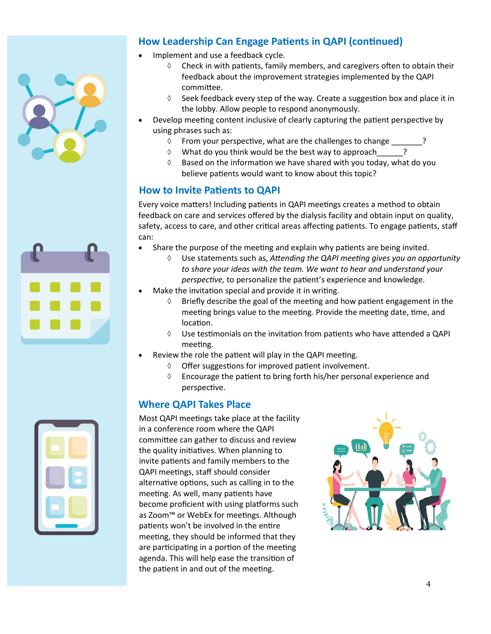

### **How Leadership Can Engage Patients in QAPI (continued)**

- Implement and use a feedback cycle.
	- $\Diamond$  Check in with patients, family members, and caregivers often to obtain their feedback about the improvement strategies implemented by the QAPI committee.
	- $\Diamond$  Seek feedback every step of the way. Create a suggestion box and place it in the lobby. Allow people to respond anonymously.
- Develop meeting content inclusive of clearly capturing the patient perspective by using phrases such as:
	- $\Diamond$  From your perspective, what are the challenges to change
	- $\Diamond$  What do you think would be the best way to approach
	- Based on the information we have shared with you today, what do you believe patients would want to know about this topic?

### **How to Invite Patients to QAPI**

Every voice matters! Including patients in QAPI meetings creates a method to obtain feedback on care and services offered by the dialysis facility and obtain input on quality, safety, access to care, and other critical areas affecting patients. To engage patients, staff can:

- Share the purpose of the meeting and explain why patients are being invited.
	- Use statements such as, *Attending the QAPI meeting gives you an opportunity to share your ideas with the team. We want to hear and understand your perspective,* to personalize the patient's experience and knowledge.
- Make the invitation special and provide it in writing.
	- $\Diamond$  Briefly describe the goal of the meeting and how patient engagement in the meeting brings value to the meeting. Provide the meeting date, time, and location.
	- $\Diamond$  Use testimonials on the invitation from patients who have attended a QAPI meeting.
- Review the role the patient will play in the QAPI meeting.
	- $\lozenge$  Offer suggestions for improved patient involvement.
	- $\Diamond$  Encourage the patient to bring forth his/her personal experience and perspective.

### **Where QAPI Takes Place**

Most QAPI meetings take place at the facility in a conference room where the QAPI committee can gather to discuss and review the quality initiatives. When planning to invite patients and family members to the QAPI meetings, staff should consider alternative options, such as calling in to the meeting. As well, many patients have become proficient with using platforms such as Zoom™ or WebEx for meetings. Although patients won't be involved in the entire meeting, they should be informed that they are participating in a portion of the meeting agenda. This will help ease the transition of the patient in and out of the meeting.





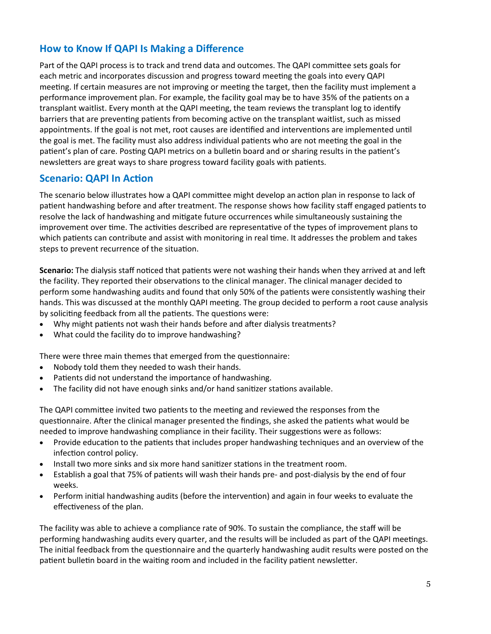### **How to Know If QAPI Is Making a Difference**

Part of the QAPI process is to track and trend data and outcomes. The QAPI committee sets goals for each metric and incorporates discussion and progress toward meeting the goals into every QAPI meeting. If certain measures are not improving or meeting the target, then the facility must implement a performance improvement plan. For example, the facility goal may be to have 35% of the patients on a transplant waitlist. Every month at the QAPI meeting, the team reviews the transplant log to identify barriers that are preventing patients from becoming active on the transplant waitlist, such as missed appointments. If the goal is not met, root causes are identified and interventions are implemented until the goal is met. The facility must also address individual patients who are not meeting the goal in the patient's plan of care. Posting QAPI metrics on a bulletin board and or sharing results in the patient's newsletters are great ways to share progress toward facility goals with patients.

#### **Scenario: QAPI In Action**

The scenario below illustrates how a QAPI committee might develop an action plan in response to lack of patient handwashing before and after treatment. The response shows how facility staff engaged patients to resolve the lack of handwashing and mitigate future occurrences while simultaneously sustaining the improvement over time. The activities described are representative of the types of improvement plans to which patients can contribute and assist with monitoring in real time. It addresses the problem and takes steps to prevent recurrence of the situation.

**Scenario:** The dialysis staff noticed that patients were not washing their hands when they arrived at and left the facility. They reported their observations to the clinical manager. The clinical manager decided to perform some handwashing audits and found that only 50% of the patients were consistently washing their hands. This was discussed at the monthly QAPI meeting. The group decided to perform a root cause analysis by soliciting feedback from all the patients. The questions were:

- Why might patients not wash their hands before and after dialysis treatments?
- What could the facility do to improve handwashing?

There were three main themes that emerged from the questionnaire:

- Nobody told them they needed to wash their hands.
- Patients did not understand the importance of handwashing.
- The facility did not have enough sinks and/or hand sanitizer stations available.

The QAPI committee invited two patients to the meeting and reviewed the responses from the questionnaire. After the clinical manager presented the findings, she asked the patients what would be needed to improve handwashing compliance in their facility. Their suggestions were as follows:

- Provide education to the patients that includes proper handwashing techniques and an overview of the infection control policy.
- Install two more sinks and six more hand sanitizer stations in the treatment room.
- Establish a goal that 75% of patients will wash their hands pre- and post-dialysis by the end of four weeks.
- Perform initial handwashing audits (before the intervention) and again in four weeks to evaluate the effectiveness of the plan.

The facility was able to achieve a compliance rate of 90%. To sustain the compliance, the staff will be performing handwashing audits every quarter, and the results will be included as part of the QAPI meetings. The initial feedback from the questionnaire and the quarterly handwashing audit results were posted on the patient bulletin board in the waiting room and included in the facility patient newsletter.